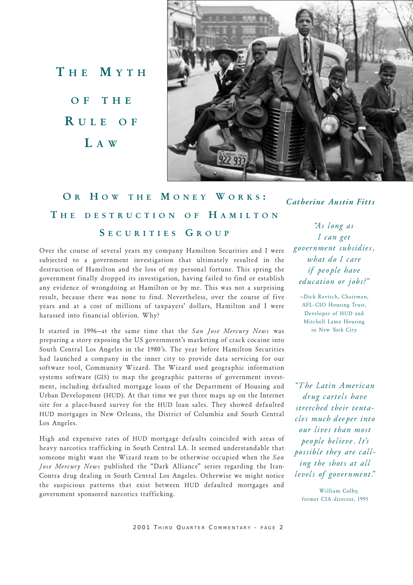THE MYTH OF THE R ULE OF L A W



OR HOW THE MONEY WORKS: THE DESTRUCTION OF HAMILTON SECURITIES GROUP

Over the course of several years my company Hamilton Securities and I were subjected to a government investigation that ultimately resulted in the destruction of Hamilton and the loss of my personal fortune. This spring the government finally dropped its investigation, having failed to find or establish any evidence of wrongdoing at Hamilton or by me. This was not a surprising result, because there was none to find. Nevertheless, over the course of five years and at a cost of millions of taxpayers' dollars, Hamilton and I were harassed into financial oblivion. Why?

It started in 1996-at the same time that the San Jose Mercury News was preparing a story exposing the US government's marketing of crack cocaine into South Central Los Angeles in the 1980's. The year before Hamilton Securities had launched a company in the inner city to provide data servicing for our software tool, Community Wizard. The Wizard used geographic information systems software (GIS) to map the geographic patterns of government investment, including defaulted mortgage loans of the Department of Housing and Urban Development (HUD). At that time we put three maps up on the Internet site for a place-based survey for the HUD loan sales. They showed defaulted HUD mortgages in New Orleans, the District of Columbia and South Central Los Angeles.

High and expensive rates of HUD mortgage defaults coincided with areas of heavy narcotics trafficking in South Central LA. It seemed understandable that someone might want the Wizard team to be otherwise occupied when the San Jose Mercury News published the "Dark Alliance" series regarding the Iran-Contra drug dealing in South Central Los Angeles. Otherwise we might notice the suspicious patterns that exist between HUD defaulted mortgages and government sponsored narcotics trafficking.

Catherine Austin Fitts

As long as I can get government subsidies, what do I care if people have education or jobs?"

-Dick Ravitch, Chairman, AFL-CIO Housing Trust, Developer of HUD and Mitchell Lama Housing in New York City

The Latin American drug cartels have stretched their tentacles much deeper into our lives than most people believe. It's possible they are calling the shots at all levels of government."

William Colby, former CIA director, 1995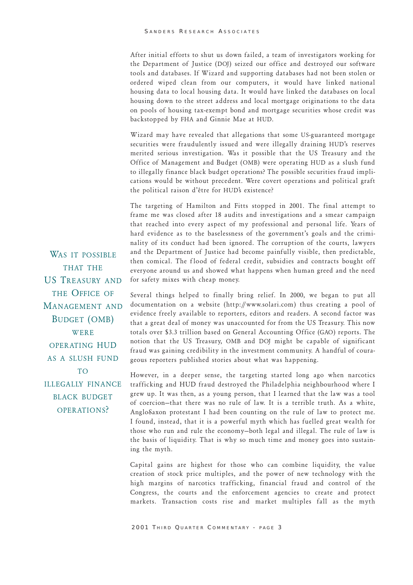After initial efforts to shut us down failed, a team of investigators working for the Department of Justice (DOJ) seized our office and destroyed our software tools and databases. If Wizard and supporting databases had not been stolen or ordered wiped clean from our computers, it would have linked national housing data to local housing data. It would have linked the databases on local housing down to the street address and local mortgage originations to the data on pools of housing tax-exempt bond and mortgage securities whose credit was backstopped by FHA and Ginnie Mae at HUD.

Wizard may have revealed that allegations that some US-guaranteed mortgage securities were fraudulently issued and were illegally draining HUD's reserves merited serious investigation. Was it possible that the US Treasury and the Office of Management and Budget (OMB) were operating HUD as a slush fund to illegally finance black budget operations? The possible securities fraud implications would be without precedent. Were covert operations and political graft the political raison d'être for HUD's existence?

The targeting of Hamilton and Fitts stopped in 2001. The final attempt to frame me was closed after 18 audits and investigations and a smear campaign that reached into every aspect of my professional and personal life. Years of hard evidence as to the baselessness of the government's goals and the criminality of its conduct had been ignored. The corruption of the courts, lawyers and the Department of Justice had become painfully visible, then predictable, then comical. The flood of federal credit, subsidies and contracts bought off everyone around us and showed what happens when human greed and the need for safety mixes with cheap money.

WAS IT POSSIBLE THAT THE US TREASURY AND THE OFFICE OF MANAGEMENT AND BUDGET (OMB) **WERE** OPERATING HUD AS A SLUSH FUND TO **ILLEGALLY FINANCE** BLACK BUDGET OPER ATIONS?

Several things helped to finally bring relief. In 2000, we began to put all documentation on a website (http://www.solari.com) thus creating a pool of evidence freely available to reporters, editors and readers. A second factor was that a great deal of money was unaccounted for from the US Treasury. This now totals over \$3.3 trillion based on General Accounting Office (GAO) reports. The notion that the US Treasury, OMB and DOJ might be capable of significant fraud was gaining credibility in the investment community. A handful of courageous reporters published stories about what was happening.

However, in a deeper sense, the targeting started long ago when narcotics trafficking and HUD fraud destroyed the Philadelphia neighbourhood where I grew up. It was then, as a young person, that I learned that the law was a tool of coercion-that there was no rule of law. It is a terrible truth. As a white, AngloSaxon protestant I had been counting on the rule of law to protect me. I found, instead, that it is a powerful myth which has fuelled great wealth for those who run and rule the economy-both legal and illegal. The rule of law is the basis of liquidity. That is why so much time and money goes into sustaining the myth.

Capital gains are highest for those who can combine liquidity, the value creation of stock price multiples, and the power of new technology with the high margins of narcotics trafficking, financial fraud and control of the Congress, the courts and the enforcement agencies to create and protect markets. Transaction costs rise and market multiples fall as the myth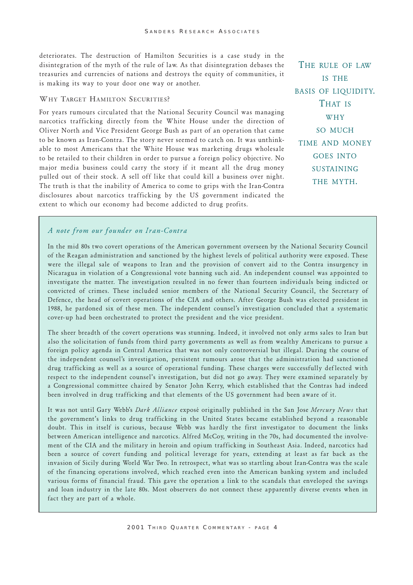deteriorates. The destruction of Hamilton Securities is a case study in the disintegration of the myth of the rule of law. As that disintegration debases the treasuries and currencies of nations and destroys the equity of communities, it is making its way to your door one way or another.

#### WHY TARGET HAMILTON SECURITIES?

For years rumours circulated that the National Security Council was managing narcotics trafficking directly from the White House under the direction of Oliver North and Vice President George Bush as part of an operation that came to be known as Iran-Contra. The story never seemed to catch on. It was unthinkable to most Americans that the White House was marketing drugs wholesale to be retailed to their children in order to pursue a foreign policy objective. No major media business could carry the story if it meant all the drug money pulled out of their stock. A sell off like that could kill a business over night. The truth is that the inability of America to come to grips with the Iran-Contra disclosures about narcotics trafficking by the US government indicated the extent to which our economy had become addicted to drug profits.

THE RULE OF LAW IS THE BASIS OF LIQUIDITY. THAT IS WHY SO MUCH TIME AND MONEY GOES INTO **SUSTAINING** THE MYTH.

# A note from our founder on Iran-Contra

In the mid 80s two covert operations of the American government overseen by the National Security Council of the Reagan administration and sanctioned by the highest levels of political authority were exposed. These were the illegal sale of weapons to Iran and the provision of convert aid to the Contra insurgency in Nicaragua in violation of a Congressional vote banning such aid. An independent counsel was appointed to investigate the matter. The investigation resulted in no fewer than fourteen individuals being indicted or convicted of crimes. These included senior members of the National Security Council, the Secretary of Defence, the head of covert operations of the CIA and others. After George Bush was elected president in 1988, he pardoned six of these men. The independent counsel's investigation concluded that a systematic cover- up had been orchestrated to protect the president and the vice president.

The sheer breadth of the covert operations was stunning. Indeed, it involved not only arms sales to Iran but also the solicitation of funds from third party governments as well as from wealthy Americans to pursue a foreign policy agenda in Central America that was not only controversial but illegal. During the course of the independent counsel's investigation, persistent rumours arose that the administration had sanctioned drug trafficking as well as a source of operational funding. These charges were successfully deflected with respect to the independent counsel's investigation, but did not go away. They were examined separately by a Congressional committee chaired by Senator John Kerry, which established that the Contras had indeed been involved in drug trafficking and that elements of the US government had been aware of it.

It was not until Gary Webb's Dark Alliance exposé originally published in the San Jose Mercury News that the government's links to drug trafficking in the United States became established beyond a reasonable doubt. This in itself is curious, because Webb was hardly the first investigator to document the links between American intelligence and narcotics. Alfred McCoy, writing in the 70s, had documented the involvement of the CIA and the military in heroin and opium trafficking in Southeast Asia. Indeed, narcotics had been a source of covert funding and political leverage for years, extending at least as far back as the invasion of Sicily during World War Two. In retrospect, what was so startling about Iran-Contra was the scale of the financing operations involved, which reached even into the American banking system and included various forms of financial fraud. This gave the operation a link to the scandals that enveloped the savings and loan industry in the late 80s. Most observers do not connect these apparently diverse events when in fact they are part of a whole.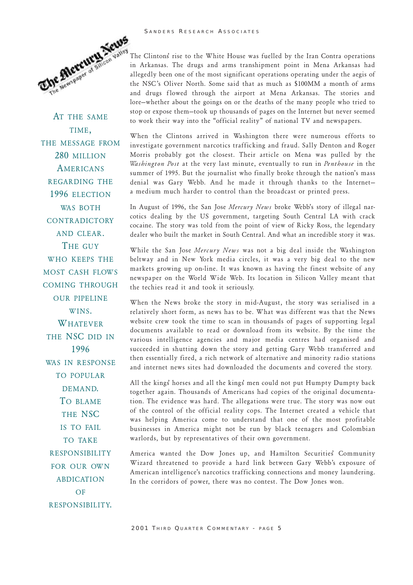#### SANDERS RESEARCH ASSOCIATES



When the Clintons arrived in Washington there were numerous efforts to investigate government narcotics trafficking and fraud. Sally Denton and Roger Morris probably got the closest. Their article on Mena was pulled by the Washington Post at the very last minute, eventually to run in Penthouse in the summer of 1995. But the journalist who finally broke through the nation's mass denial was Gary Webb. And he made it through thanks to the Internet a medium much harder to control than the broadcast or printed press.

In August of 1996, the San Jose Mercury News broke Webb's story of illegal narcotics dealing by the US government, targeting South Central LA with crack cocaine. The story was told from the point of view of Ricky Ross, the legendary dealer who built the market in South Central. And what an incredible story it was.

While the San Jose Mercury News was not a big deal inside the Washington beltway and in New York media circles, it was a very big deal to the new markets growing up on-line. It was known as having the finest website of any newspaper on the World Wide Web. Its location in Silicon Valley meant that the techies read it and took it seriously.

When the News broke the story in mid-August, the story was serialised in a relatively short form, as news has to be. What was different was that the News website crew took the time to scan in thousands of pages of supporting legal documents available to read or download from its website. By the time the various intelligence agencies and major media centres had organised and succeeded in shutting down the story and getting Gary Webb transferred and then essentially fired, a rich network of alternative and minority radio stations and internet news sites had downloaded the documents and covered the story.

All the kings horses and all the kings men could not put Humpty Dumpty back together again. Thousands of Americans had copies of the original documentation. The evidence was hard. The allegations were true. The story was now out of the control of the official reality cops. The Internet created a vehicle that was helping America come to understand that one of the most profitable businesses in America might not be run by black teenagers and Colombian warlords, but by representatives of their own government.

America wanted the Dow Jones up, and Hamilton Securities Community Wizard threatened to provide a hard link between Gary Webb's exposure of American intelligence's narcotics trafficking connections and money laundering. In the corridors of power, there was no contest. The Dow Jones won.



AT THE SAME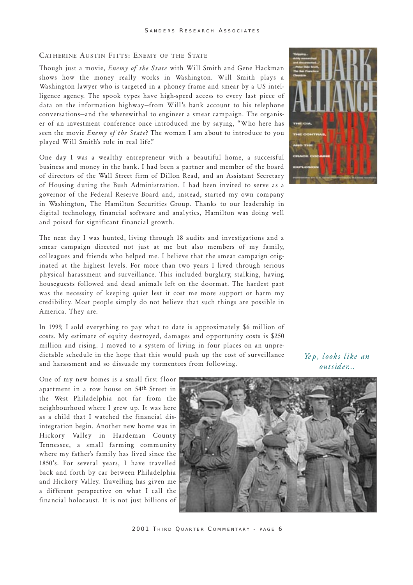## CATHERINE AUSTIN FITTS: ENEMY OF THE STATE

Though just a movie, Enemy of the State with Will Smith and Gene Hackman shows how the money really works in Washington. Will Smith plays a Washington lawyer who is targeted in a phoney frame and smear by a US intelligence agency. The spook types have high-speed access to every last piece of data on the information highway–from Will's bank account to his telephone conversations-and the wherewithal to engineer a smear campaign. The organiser of an investment conference once introduced me by saying, Who here has seen the movie *Enemy of the State*? The woman I am about to introduce to you played Will Smith's role in real life."

One day I was a wealthy entrepreneur with a beautiful home, a successful business and money in the bank. I had been a partner and member of the board of directors of the Wall Street firm of Dillon Read, and an Assistant Secretary of Housing during the Bush Administration. I had been invited to serve as a governor of the Federal Reserve Board and, instead, started my own company in Washington, The Hamilton Securities Group. Thanks to our leadership in digital technology, financial software and analytics, Hamilton was doing well and poised for significant financial growth.

The next day I was hunted, living through 18 audits and investigations and a smear campaign directed not just at me but also members of my family, colleagues and friends who helped me. I believe that the smear campaign originated at the highest levels. For more than two years I lived through serious physical harassment and surveillance. This included burglary, stalking, having houseguests followed and dead animals left on the doormat. The hardest part was the necessity of keeping quiet lest it cost me more support or harm my credibility. Most people simply do not believe that such things are possible in America. They are.

In 1999, I sold everything to pay what to date is approximately \$6 million of costs. My estimate of equity destroyed, damages and opportunity costs is \$250 million and rising. I moved to a system of living in four places on an unpredictable schedule in the hope that this would push up the cost of surveillance and harassment and so dissuade my tormentors from following.

One of my new homes is a small first floor apartment in a row house on 54th Street in the West Philadelphia not far from the neighbourhood where I grew up. It was here as a child that I watched the financial disintegration begin. Another new home was in Hickory Valley in Hardeman County Tennessee, a small farming community where my father's family has lived since the 1850's. For several years, I have travelled back and forth by car between Philadelphia and Hickory Valley. Travelling has given me a different perspective on what I call the financial holocaust. It is not just billions of



2001 THIRD QUARTER COMMENTARY - PAGE 6



Yep, looks like an ou tsider...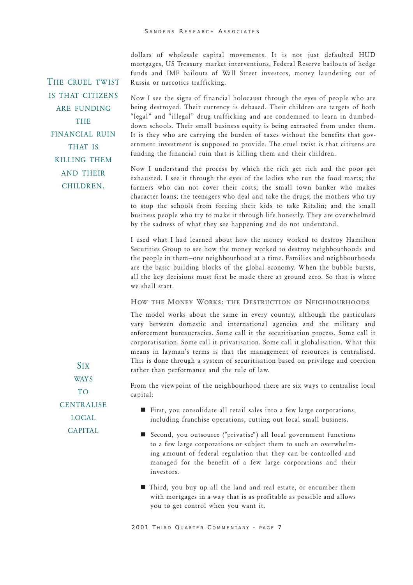dollars of wholesale capital movements. It is not just defaulted HUD mortgages, US Treasury market interventions, Federal Reserve bailouts of hedge funds and IMF bailouts of Wall Street investors, money laundering out of Russia or narcotics trafficking.

THE CRUEL TWIST IS THAT CITIZENS ARE FUNDING **THE** FINANCIAL RUIN THAT IS KILLING THEM AND THEIR CHILDREN.

Now I see the signs of financial holocaust through the eyes of people who are being destroyed. Their currency is debased. Their children are targets of both "legal" and "illegal" drug trafficking and are condemned to learn in dumbeddown schools. Their small business equity is being extracted from under them. It is they who are carrying the burden of taxes without the benefits that government investment is supposed to provide. The cruel twist is that citizens are funding the financial ruin that is killing them and their children.

Now I understand the process by which the rich get rich and the poor get exhausted. I see it through the eyes of the ladies who run the food marts; the farmers who can not cover their costs; the small town banker who makes character loans; the teenagers who deal and take the drugs; the mothers who try to stop the schools from forcing their kids to take Ritalin; and the small business people who try to make it through life honestly. They are overwhelmed by the sadness of what they see happening and do not understand.

I used what I had learned about how the money worked to destroy Hamilton Securities Group to see how the money worked to destroy neighbourhoods and the people in them-one neighbourhood at a time. Families and neighbourhoods are the basic building blocks of the global economy. When the bubble bursts, all the key decisions must first be made there at ground zero. So that is where we shall start.

HOW THE MONEY WORKS: THE DESTRUCTION OF NEIGHBOURHOODS

The model works about the same in every country, although the particulars vary between domestic and international agencies and the military and enforcement bureaucracies. Some call it the securitisation process. Some call it corporatisation. Some call it privatisation. Some call it globalisation. What this means in layman's terms is that the management of resources is centralised. This is done through a system of securitisation based on privilege and coercion rather than performance and the rule of law.

From the viewpoint of the neighbourhood there are six ways to centralise local capital:

**CENTRALISE** LOCAL

CAPITAL

SIX **WAYS** TO

> ■ First, you consolidate all retail sales into a few large corporations, including franchise operations, cutting out local small business.

- Second, you outsource ("privatise") all local government functions to a few large corporations or subject them to such an overwhelming amount of federal regulation that they can be controlled and managed for the benefit of a few large corporations and their investors.
	- $\blacksquare$  Third, you buy up all the land and real estate, or encumber them with mortgages in a way that is as profitable as possible and allows you to get control when you want it.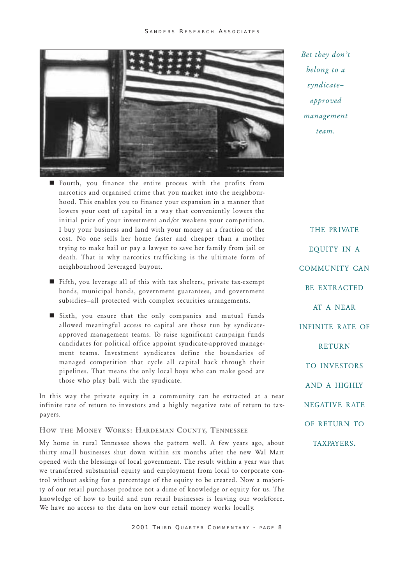

Bet they don't belong to a syndicate approved management team.

- $\blacksquare$  Fourth, you finance the entire process with the profits from narcotics and organised crime that you market into the neighbourhood. This enables you to finance your expansion in a manner that lowers your cost of capital in a way that conveniently lowers the initial price of your investment and/or weakens your competition. I buy your business and land with your money at a fraction of the cost. No one sells her home faster and cheaper than a mother trying to make bail or pay a lawyer to save her family from jail or death. That is why narcotics trafficking is the ultimate form of neighbourhood leveraged buyout.
- Fifth, you leverage all of this with tax shelters, private tax-exempt bonds, municipal bonds, government guarantees, and government subsidies-all protected with complex securities arrangements.
- $\blacksquare$  Sixth, you ensure that the only companies and mutual funds allowed meaningful access to capital are those run by syndicateapproved management teams. To raise significant campaign funds candidates for political office appoint syndicate-approved management teams. Investment syndicates define the boundaries of managed competition that cycle all capital back through their pipelines. That means the only local boys who can make good are those who play ball with the syndicate.

In this way the private equity in a community can be extracted at a near infinite rate of return to investors and a highly negative rate of return to taxpayers.

HOW THE MONEY WORKS: HARDEMAN COUNTY, TENNESSEE

My home in rural Tennessee shows the pattern well. A few years ago, about thirty small businesses shut down within six months after the new Wal Mart opened with the blessings of local government. The result within a year was that we transferred substantial equity and employment from local to corporate control without asking for a percentage of the equity to be created. Now a majority of our retail purchases produce not a dime of knowledge or equity for us. The knowledge of how to build and run retail businesses is leaving our workforce. We have no access to the data on how our retail money works locally.

THE PRIVATE EQUITY IN A COMMUNITY CAN BE EXTRACTED AT A NEAR INFINITE RATE OF RETURN TO INVESTORS AND A HIGHLY NEGATIVE RATE OF RETURN TO TAXPAYERS.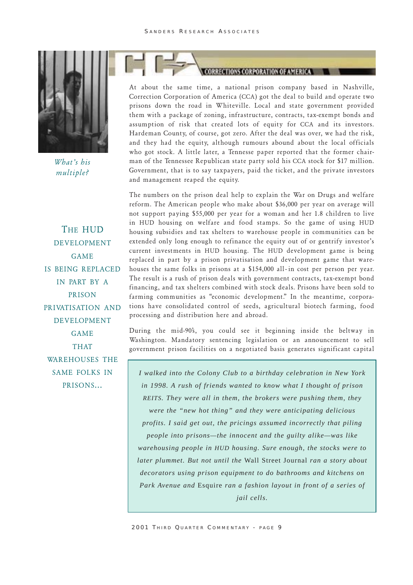

What's his multiple?

THE HUD DEVELOPMENT GAME IS BEING REPLACED IN PART BY A PRISON PRIVATISATION AND DEVELOPMENT GAME THAT WAREHOUSES THE SAME FOLKS IN PRISONS...

**CORPORATION OF AMERICA** 

At about the same time, a national prison company based in Nashville, Correction Corporation of America (CCA) got the deal to build and operate two prisons down the road in Whiteville. Local and state government provided them with a package of zoning, infrastructure, contracts, tax-exempt bonds and assumption of risk that created lots of equity for CCA and its investors. Hardeman County, of course, got zero. After the deal was over, we had the risk, and they had the equity, although rumours abound about the local officials who got stock. A little later, a Tennesse paper reported that the former chairman of the Tennessee Republican state party sold his CCA stock for \$17 million. Government, that is to say taxpayers, paid the ticket, and the private investors and management reaped the equity.

The numbers on the prison deal help to explain the War on Drugs and welfare reform. The American people who make about \$36,000 per year on average will not support paying \$55,000 per year for a woman and her 1.8 children to live in HUD housing on welfare and food stamps. So the game of using HUD housing subsidies and tax shelters to warehouse people in communities can be extended only long enough to refinance the equity out of or gentrify investor's current investments in HUD housing. The HUD development game is being replaced in part by a prison privatisation and development game that warehouses the same folks in prisons at a \$154,000 all-in cost per person per year. The result is a rush of prison deals with government contracts, tax-exempt bond financing, and tax shelters combined with stock deals. Prisons have been sold to farming communities as "economic development." In the meantime, corporations have consolidated control of seeds, agricultural biotech farming, food processing and distribution here and abroad.

During the mid-90s, you could see it beginning inside the beltway in Washington. Mandatory sentencing legislation or an announcement to sell government prison facilities on a negotiated basis generates significant capital

*I walked into the Colony Club to a birthday celebration in New York in 1998. A rush of friends wanted to know what I thought of prison REITS. They were all in them, the brokers were pushing them, they were the "new hot thing" and they were anticipating delicious profits. I said get out, the pricings assumed incorrectly that piling people into prisons—the innocent and the guilty alike—was like warehousing people in HUD housing. Sure enough, the stocks were to later plummet. But not until the* Wall Street Journal *ran a story about decorators using prison equipment to do bathrooms and kitchens on Park Avenue and* Esquire *ran a fashion layout in front of a series of jail cells.*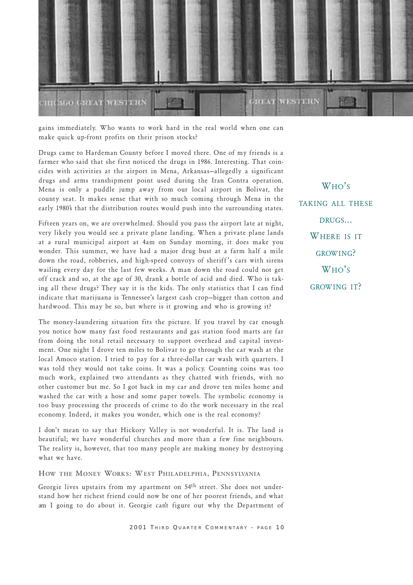

gains immediately. Who wants to work hard in the real world when one can make quick up-front profits on their prison stocks?

Drugs came to Hardeman County before I moved there. One of my friends is a farmer who said that she first noticed the drugs in 1986. Interesting. That coincides with activities at the airport in Mena, Arkansas-allegedly a significant drugs and arms transhipment point used during the Iran Contra operation. Mena is only a puddle jump away from our local airport in Bolivar, the county seat. It makes sense that with so much coming through Mena in the early 1980's that the distribution routes would push into the surrounding states.

Fifteen years on, we are overwhelmed. Should you pass the airport late at night, very likely you would see a private plane landing. When a private plane lands at a rural municipal airport at 4am on Sunday morning, it does make you wonder. This summer, we have had a major drug bust at a farm half a mile down the road, robberies, and high-speed convoys of sheriff's cars with sirens wailing every day for the last few weeks. A man down the road could not get off crack and so, at the age of 30, drank a bottle of acid and died. Who is taking all these drugs? They say it is the kids. The only statistics that I can find indicate that marijuana is Tennessee's largest cash crop-bigger than cotton and hardwood. This may be so, but where is it growing and who is growing it?

The money-laundering situation fits the picture. If you travel by car enough you notice how many fast food restaurants and gas station food marts are far from doing the total retail necessary to support overhead and capital investment. One night I drove ten miles to Bolivar to go through the car wash at the local Amoco station. I tried to pay for a three-dollar car wash with quarters. I was told they would not take coins. It was a policy. Counting coins was too much work, explained two attendants as they chatted with friends, with no other customer but me. So I got back in my car and drove ten miles home and washed the car with a hose and some paper towels. The symbolic economy is too busy processing the proceeds of crime to do the work necessary in the real economy. Indeed, it makes you wonder, which one is the real economy?

I don't mean to say that Hickory Valley is not wonderful. It is. The land is beautiful; we have wonderful churches and more than a few fine neighbours. The reality is, however, that too many people are making money by destroying what we have.

#### HOW THE MONEY WORKS: WEST PHILADELPHIA, PENNSYLVANIA

Georgie lives upstairs from my apartment on 54th street. She does not understand how her richest friend could now be one of her poorest friends, and what am I going to do about it. Georgie cant figure out why the Department of

W<sub>HO</sub>'s TAKING ALL THESE DRUGS... WHERE IS IT GROW ING? W<sub>HO</sub>'s GROW ING IT?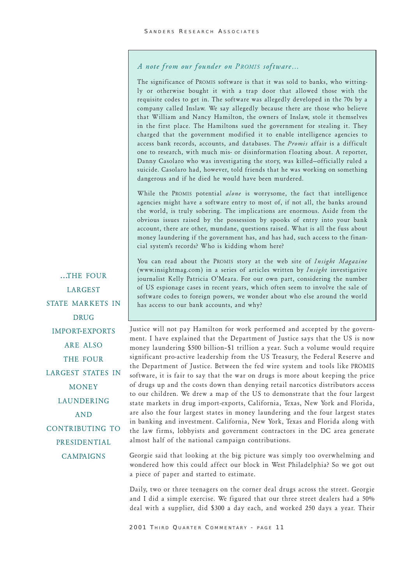# A note from our founder on PROMIS software...

The significance of PROMIS software is that it was sold to banks, who wittingly or otherwise bought it with a trap door that allowed those with the requisite codes to get in. The software was allegedly developed in the 70s by a company called Inslaw. We say allegedly because there are those who believe that William and Nancy Hamilton, the owners of Inslaw, stole it themselves in the first place. The Hamiltons sued the government for stealing it. They charged that the government modified it to enable intelligence agencies to access bank records, accounts, and databases. The Promis affair is a difficult one to research, with much mis- or disinformation f loating about. A reporter, Danny Casolaro who was investigating the story, was killed-officially ruled a suicide. Casolaro had, however, told friends that he was working on something dangerous and if he died he would have been murdered.

While the PROMIS potential alone is worrysome, the fact that intelligence agencies might have a software entry to most of, if not all, the banks around the world, is truly sobering. The implications are enormous. Aside from the obvious issues raised by the possession by spooks of entry into your bank account, there are other, mundane, questions raised. What is all the fuss about money laundering if the government has, and has had, such access to the financial system's records? Who is kidding whom here?

You can read about the PROMIS story at the web site of Insight Magazine (www.insightmag.com) in a series of articles written by Insight investigative journalist Kelly Patricia O'Meara. For our own part, considering the number of US espionage cases in recent years, which often seem to involve the sale of software codes to foreign powers, we wonder about who else around the world has access to our bank accounts, and why?

Justice will not pay Hamilton for work performed and accepted by the government. I have explained that the Department of Justice says that the US is now money laundering \$500 billion-\$1 trillion a year. Such a volume would require significant pro-active leadership from the US Treasury, the Federal Reserve and the Department of Justice. Between the fed wire system and tools like PROMIS software, it is fair to say that the war on drugs is more about keeping the price of drugs up and the costs down than denying retail narcotics distributors access to our children. We drew a map of the US to demonstrate that the four largest state markets in drug import-exports, California, Texas, New York and Florida, are also the four largest states in money laundering and the four largest states in banking and investment. California, New York, Texas and Florida along with the law firms, lobbyists and government contractors in the DC area generate almost half of the national campaign contributions.

Georgie said that looking at the big picture was simply too overwhelming and wondered how this could affect our block in West Philadelphia? So we got out a piece of paper and started to estimate.

Daily, two or three teenagers on the corner deal drugs across the street. Georgie and I did a simple exercise. We figured that our three street dealers had a 50% deal with a supplier, did \$300 a day each, and worked 250 days a year. Their

2001 THIRD QUARTER COMMENTARY - PAGE 11

...THE FOUR LARGEST STATE MARKETS IN DRUG IMPORT-EXPORTS ARE ALSO THE FOUR LARGEST STATES IN **MONEY** LAUNDERING AND CONTRIBUTING TO PRESIDENTIAL

# **CAMPAIGNS**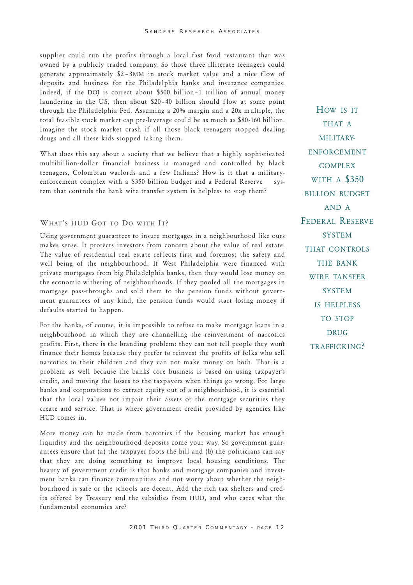supplier could run the profits through a local fast food restaurant that was owned by a publicly traded company. So those three illiterate teenagers could generate approximately \$2 3MM in stock market value and a nice flow of deposits and business for the Philadelphia banks and insurance companies. Indeed, if the DOJ is correct about \$500 billion-1 trillion of annual money laundering in the US, then about \$20-40 billion should flow at some point through the Philadelphia Fed. Assuming a 20% margin and a 20x multiple, the total feasible stock market cap pre-leverage could be as much as \$80-160 billion. Imagine the stock market crash if all those black teenagers stopped dealing drugs and all these kids stopped taking them.

What does this say about a society that we believe that a highly sophisticated multibillion-dollar financial business is managed and controlled by black teenagers, Colombian warlords and a few Italians? How is it that a militaryenforcement complex with a \$350 billion budget and a Federal Reserve system that controls the bank wire transfer system is helpless to stop them?

#### WHAT'S HUD GOT TO DO WITH IT?

Using government guarantees to insure mortgages in a neighbourhood like ours makes sense. It protects investors from concern about the value of real estate. The value of residential real estate reflects first and foremost the safety and well being of the neighbourhood. If West Philadelphia were financed with private mortgages from big Philadelphia banks, then they would lose money on the economic withering of neighbourhoods. If they pooled all the mortgages in mortgage pass-throughs and sold them to the pension funds without government guarantees of any kind, the pension funds would start losing money if defaults started to happen.

For the banks, of course, it is impossible to refuse to make mortgage loans in a neighbourhood in which they are channelling the reinvestment of narcotics profits. First, there is the branding problem: they can not tell people they wont finance their homes because they prefer to reinvest the profits of folks who sell narcotics to their children and they can not make money on both. That is a problem as well because the banks core business is based on using taxpayer's credit, and moving the losses to the taxpayers when things go wrong. For large banks and corporations to extract equity out of a neighbourhood, it is essential that the local values not impair their assets or the mortgage securities they create and service. That is where government credit provided by agencies like HUD comes in.

More money can be made from narcotics if the housing market has enough liquidity and the neighbourhood deposits come your way. So government guarantees ensure that (a) the taxpayer fo ots the bill and (b) the politicians can say that they are doing something to improve local housing conditions. The beauty of government credit is that banks and mortgage companies and investment banks can finance communities and not worry about whether the neighbourhood is safe or the schools are decent. Add the rich tax shelters and credits of fered by Treasury and the subsidies from HUD, and who cares what the fundamental economics are?

HOW IS IT THAT A MILITARY-ENFORCEMENT COMPLEX WITH A \$350 BILLION BUDGET AND A FEDERAL RESERVE SYSTEM THAT CONTROLS THE BANK WIRE TANSFER **SYSTEM** IS HELPLESS TO STOP **DRUG** TRAFFICKING?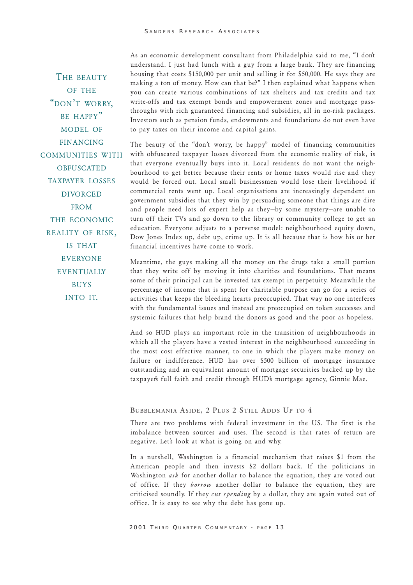THE BEAUTY OF THE "DON'T WORRY. BE HAPPY" MODEL OF FINANCING COMMUNITIES WITH OBFUSCATED TAXPAYER LOSSES **DIVORCED** FROM THE ECONOMIC REALITY OF RISK, IS THAT EVERYONE **EVENTUALLY** BUYS INTO IT.

As an economic development consultant from Philadelphia said to me, "I don't understand. I just had lunch with a guy from a large bank. They are financing housing that costs \$150,000 per unit and selling it for \$50,000. He says they are making a ton of money. How can that be?" I then explained what happens when you can create various combinations of tax shelters and tax credits and tax write-offs and tax exempt bonds and empowerment zones and mortgage passthroughs with rich guaranteed financing and subsidies, all in no-risk packages. Investors such as pension funds, endowments and foundations do not even have to pay taxes on their income and capital gains.

The beauty of the "don't worry, be happy" model of financing communities with obfuscated taxpayer losses divorced from the economic reality of risk, is that everyone eventually buys into it. Local residents do not want the neighbourhood to get better because their rents or home taxes would rise and they would be forced out. Local small businessmen would lose their livelihood if commercial rents went up. Local organisations are increasingly dependent on government subsidies that they win by persuading someone that things are dire and people need lots of expert help as they-by some mystery-are unable to turn off their TVs and go down to the library or community college to get an education. Everyone adjusts to a perverse model: neighbourhood equity down, Dow Jones Index up, debt up, crime up. It is all because that is how his or her financial incentives have come to work.

Meantime, the guys making all the money on the drugs take a small portion that they write off by moving it into charities and foundations. That means some of their principal can be invested tax exempt in perpetuity. Meanwhile the percentage of income that is spent for charitable purpose can go for a series of activities that keeps the bleeding hearts preoccupied. That way no one interferes with the fundamental issues and instead are preoccupied on token successes and systemic failures that help brand the donors as good and the poor as hopeless.

And so HUD plays an important role in the transition of neighbourhoods in which all the players have a vested interest in the neighbourhood succeeding in the most cost effective manner, to one in which the players make money on failure or indifference. HUD has over \$500 billion of mortgage insurance outstanding and an equivalent amount of mortgage securities backed up by the taxpayer's full faith and credit through HUD's mortgage agency, Ginnie Mae.

#### BUBBLEMANIA ASIDE, 2 PLUS 2 STILL ADDS UP TO 4

There are two problems with federal investment in the US. The first is the imbalance between sources and uses. The second is that rates of return are negative. Let's look at what is going on and why.

In a nutshell, Washington is a financial mechanism that raises \$1 from the American people and then invests \$2 dollars back. If the politicians in Washington *ask* for another dollar to balance the equation, they are voted out of office. If they borrow another dollar to balance the equation, they are criticised soundly. If they cut spending by a dollar, they are again voted out of office. It is easy to see why the debt has gone up.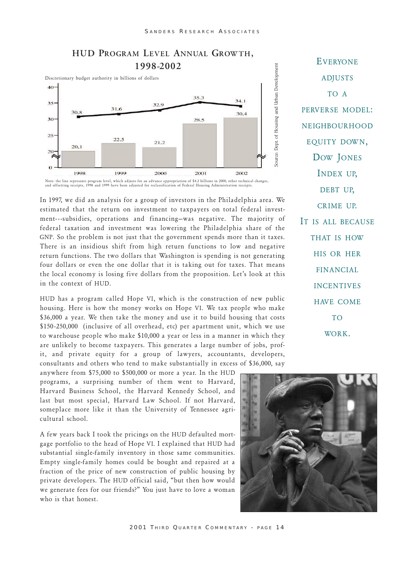

In 1997, we did an analysis for a group of investors in the Philadelphia area. We estimated that the return on investment to taxpayers on total federal investment---subsidies, operations and financing-was negative. The majority of federal taxation and investment was lowering the Philadelphia share of the GNP. So the problem is not just that the government spends more than it taxes. There is an insidious shift from high return functions to low and negative return functions. The two dollars that Washington is spending is not generating four dollars or even the one dollar that it is taking out for taxes. That means the local economy is losing five dollars from the proposition. Let's look at this in the context of HUD.

HUD has a program called Hope VI, which is the construction of new public housing. Here is how the money works on Hope VI. We tax people who make \$36,000 a year. We then take the money and use it to build housing that costs \$150 -250,000 (inclusive of all overhead, etc) per apartment unit, which we use to warehouse people who make \$10,000 a year or less in a manner in which they are unlikely to become taxpayers. This generates a large number of jobs, profit, and private equity for a group of lawyers, accountants, developers, consultants and others who tend to make substantially in excess of \$36,000, say

anywhere from \$75,000 to \$500,000 or more a year. In the HUD programs, a surprising number of them went to Harvard, Harvard Business School, the Harvard Kennedy School, and last but most special, Harvard Law School. If not Harvard, someplace more like it than the University of Tennessee agricultural school.

A few years back I took the pricings on the HUD defaulted mortgage portfolio to the head of Hope VI. I explained that HUD had substantial single-family inventory in those same communities. Empty single-family homes could be bought and repaired at a fraction of the price of new construction of public housing by private developers. The HUD official said, "but then how would we generate fees for our friends?" You just have to love a woman who is that honest.



Source: Dept. of Housing and Urban Development



# HUD PROGRAM LEVEL ANNUAL GROWTH,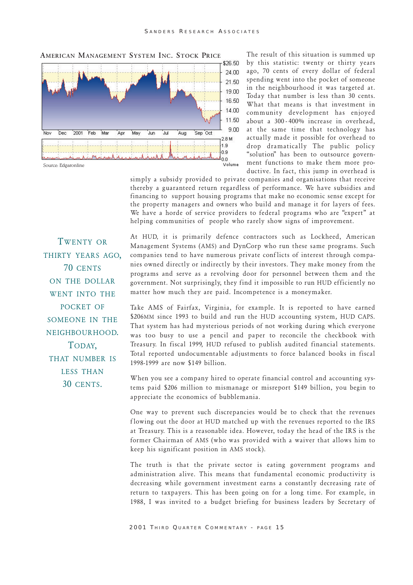

The result of this situation is summed up by this statistic: twenty or thirty years ago, 70 cents of every dollar of federal spending went into the pocket of someone in the neighbourhood it was targeted at. Today that number is less than 30 cents. What that means is that investment in community development has enjoyed about a 300 - 400% increase in overhead, at the same time that technology has actually made it possible for overhead to drop dramatically The public policy "solution" has been to outsource government functions to make them more productive. In fact, this jump in overhead is

simply a subsidy provided to private companies and organisations that receive thereby a guaranteed return regardless of performance. We have subsidies and financing to support housing programs that make no economic sense except for the property managers and owners who build and manage it for layers of fees. We have a horde of service providers to federal programs who are "expert" at helping communities of people who rarely show signs of improvement.

TWENTY OR THIRTY YEARS AGO. 70 CENTS ON THE DOLLAR WENT INTO THE POCKET OF SOMEONE IN THE NEIGHBOURHOOD. TODAY, THAT NUMBER IS LESS THAN 30 CENTS.

At HUD, it is primarily defence contractors such as Lockheed, American Management Systems (AMS) and DynCorp who run these same programs. Such companies tend to have numerous private conflicts of interest through companies owned directly or indirectly by their investors. They make money from the programs and serve as a revolving door for personnel between them and the government. Not surprisingly, they find it impossible to run HUD efficiently no matter how much they are paid. Incompetence is a moneymaker.

Take AMS of Fairfax, Virginia, for example. It is reported to have earned \$206MM since 1993 to build and run the HUD accounting system, HUD CAPS. That system has had mysterious periods of not working during which everyone was too busy to use a pencil and paper to reconcile the checkbook with Treasury. In fiscal 1999, HUD refused to publish audited financial statements. Total reported undocumentable adjustments to force balanced bo oks in fiscal 1998-1999 are now \$149 billion.

When you see a company hired to operate financial control and accounting systems paid \$206 million to mismanage or misreport \$149 billion, you begin to appreciate the economics of bubblemania.

One way to prevent such discrepancies would be to check that the revenues flowing out the door at HUD matched up with the revenues reported to the IRS at Treasury. This is a reasonable idea. However, today the head of the IRS is the former Chairman of AMS (who was provided with a waiver that allows him to keep his significant position in AMS stock).

The truth is that the private sector is eating government programs and administration alive. This means that fundamental economic productivity is decreasing while government investment earns a constantly decreasing rate of return to taxpayers. This has been going on for a long time. For example, in 1988, I was invited to a budget briefing for business leaders by Secretary of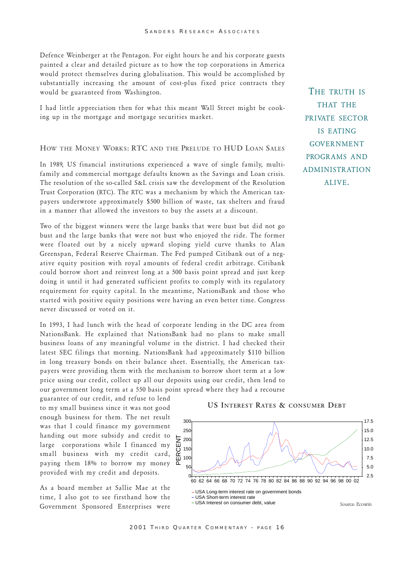Defence Weinberger at the Pentagon. For eight hours he and his corporate guests painted a clear and detailed picture as to how the top corporations in America would protect themselves during globalisation. This would be accomplished by substantially increasing the amount of cost-plus fixed price contracts they would be guaranteed from Washington.

I had little appreciation then for what this meant Wall Street might be co oking up in the mortgage and mortgage securities market.

## HOW THE MONEY WORKS: RTC AND THE PRELUDE TO HUD LOAN SALES

In 1989, US financial institutions experienced a wave of single family, multifamily and commercial mortgage defaults known as the Savings and Loan crisis. The resolution of the so-called S&L crisis saw the development of the Resolution Trust Corporation (RTC). The RTC was a mechanism by which the American taxpayers underwrote approximately \$500 billion of waste, tax shelters and fraud in a manner that allowed the investors to buy the assets at a discount.

Two of the biggest winners were the large banks that were bust but did not go bust and the large banks that were not bust who enjoyed the ride. The former were floated out by a nicely upward sloping yield curve thanks to Alan Greenspan, Federal Reserve Chairman. The Fed pumped Citibank out of a negative equity position with royal amounts of federal credit arbitrage. Citibank could borrow short and reinvest long at a 500 basis point spread and just keep doing it until it had generated sufficient profits to comply with its regulatory requirement for equity capital. In the meantime, NationsBank and those who started with positive equity positions were having an even better time. Congress never discussed or voted on it.

In 1993, I had lunch with the head of corporate lending in the DC area from NationsBank. He explained that NationsBank had no plans to make small business loans of any meaningful volume in the district. I had checked their latest SEC filings that morning. NationsBank had approximately \$110 billion in long treasury bonds on their balance sheet. Essentially, the American taxpayers were providing them with the mechanism to borrow short term at a low price using our credit, collect up all our deposits using our credit, then lend to our government long term at a 550 basis point spread where they had a recourse

guarantee of our credit, and refuse to lend to my small business since it was not good enough business for them. The net result was that I could finance my government handing out more subsidy and credit to large corporations while I financed my small business with my credit card, paying them 18% to borrow my money provided with my credit and deposits.

As a board member at Sallie Mae at the time, I also got to see firsthand how the Government Sponsored Enterprises were

THE TRUTH IS THAT THE PRIVATE SECTOR IS EATING GOVERNMENT PROGRAMS AND **ADMINISTRATION** ALIVE.



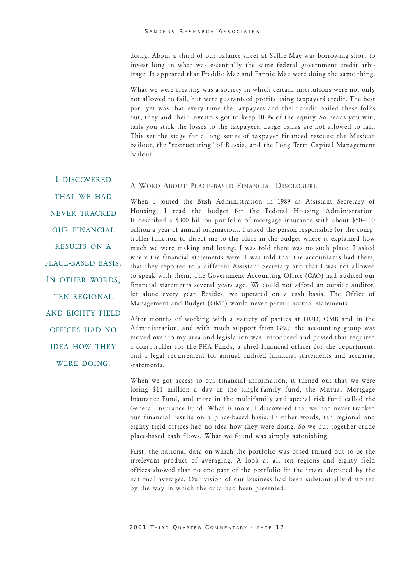doing. About a third of our balance sheet at Sallie Mae was borrowing short to invest long in what was essentially the same federal government credit arbitrage. It appeared that Freddie Mac and Fannie Mae were doing the same thing.

What we were creating was a society in which certain institutions were not only not allowed to fail, but were guaranteed profits using taxpayers credit. The best part yet was that every time the taxpayers and their credit bailed these folks out, they and their investors got to keep 100% of the equity. So heads you win, tails you stick the losses to the taxpayers. Large banks are not allowed to fail. This set the stage for a long series of taxpayer financed rescues: the Mexican bailout, the "restructuring" of Russia, and the Long Term Capital Management bailout.

I DISCOVERED

#### A WORD ABOUT PLACE-BASED FINANCIAL DISCLOSURE

THAT WE HAD NEVER TRACKED OUR FINANCIAL RESULTS ON A PLACE-BASED BASIS. IN OTHER WORDS, TEN REGIONAL AND EIGHTY FIELD OFFICES HAD NO IDEA HOW THEY WERE DOING.

When I joined the Bush Administration in 1989 as Assistant Secretary of Housing, I read the budget for the Federal Housing Administration. It described a \$300 billion portfolio of mortgage insurance with about \$50-100 billion a year of annual originations. I asked the person responsible for the comptroller function to direct me to the place in the budget where it explained how much we were making and losing. I was told there was no such place. I asked where the financial statements were. I was told that the accountants had them, that they reported to a different Assistant Secretary and that I was not allowed to speak with them. The Government Accounting Office (GAO) had audited our financial statements several years ago. We could not afford an outside auditor, let alone every year. Besides, we operated on a cash basis. The Office of Management and Budget (OMB) would never permit accrual statements.

After months of working with a variety of parties at HUD, OMB and in the Administration, and with much support from GAO, the accounting group was moved over to my area and legislation was introduced and passed that required a comptroller for the FHA Funds, a chief financial officer for the department, and a legal requirement for annual audited financial statements and actuarial statements.

When we got access to our financial information, it turned out that we were losing \$11 million a day in the single-family fund, the Mutual Mortgage Insurance Fund, and more in the multifamily and special risk fund called the General Insurance Fund. What is more, I discovered that we had never tracked our financial results on a place-based basis. In other words, ten regional and eighty field offices had no idea how they were doing. So we put together crude place-based cash flows. What we found was simply astonishing.

First, the national data on which the portfolio was based turned out to be the irrelevant product of averaging. A look at all ten regions and eighty field offices showed that no one part of the portfolio fit the image depicted by the national averages. Our vision of our business had been substantially distorted by the way in which the data had been presented.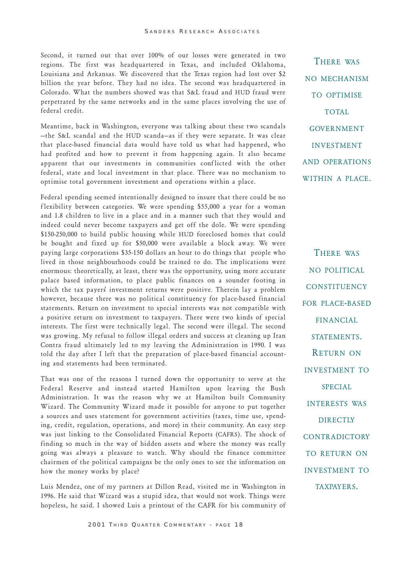Second, it turned out that over 100% of our losses were generated in two regions. The first was headquartered in Texas, and included Oklahoma, Louisiana and Arkansas. We discovered that the Texas region had lost over \$2 billion the year before. They had no idea. The second was headquartered in Colorado. What the numbers showed was that S&L fraud and HUD fraud were perpetrated by the same networks and in the same places involving the use of federal credit.

Meantime, back in Washington, everyone was talking about these two scandals -the S&L scandal and the HUD scanda-as if they were separate. It was clear that place-based financial data would have told us what had happened, who had profited and how to prevent it from happening again. It also became apparent that our investments in communities conflicted with the other federal, state and local investment in that place. There was no mechanism to optimise total government investment and operations within a place.

Federal spending seemed intentionally designed to insure that there could be no f lexibility between categories. We were spending \$55,000 a year for a woman and 1.8 children to live in a place and in a manner such that they would and indeed could never become taxpayers and get off the dole. We were spending \$150-250,000 to build public housing while HUD foreclosed homes that could be bought and fixed up for \$50,000 were available a block away. We were paying large corporations \$35-150 dollars an hour to do things that people who lived in those neighbourhoods could be trained to do. The implications were enormous: theoretically, at least, there was the opportunity, using more accurate palace based information, to place public finances on a sounder footing in which the tax payers' investment returns were positive. Therein lay a problem however, because there was no political constituency for place-based financial statements. Return on investment to special interests was not compatible with a positive return on investment to taxpayers. There were two kinds of special interests. The first were technically legal. The second were illegal. The second was growing. My refusal to follow illegal orders and success at cleaning up Iran Contra fraud ultimately led to my leaving the Administration in 1990. I was told the day after I left that the preparation of place-based financial accounting and statements had been terminated.

That was one of the reasons I turned down the opportunity to serve at the Federal Reserve and instead started Hamilton upon leaving the Bush Administration. It was the reason why we at Hamilton built Community Wizard. The Community Wizard made it possible for anyone to put together a sources and uses statement for government activities (taxes, time use, spending, credit, regulation, operations, and more) in their community. An easy step was just linking to the Consolidated Financial Reports (CAFRS). The shock of finding so much in the way of hidden assets and where the money was really going was always a pleasure to watch. Why should the finance committee chairmen of the political campaigns be the only ones to see the information on how the money works by place?

Luis Mendez, one of my partners at Dillon Read, visited me in Washington in 1996. He said that Wizard was a stupid idea, that would not work. Things were hopeless, he said. I showed Luis a printout of the CAFR for his community of

THERE WAS NO MECHANISM TO OPTIMISE TOTAL GOVERNMENT INVESTMENT AND OPERATIONS WITHIN A PLACE.

THERE WAS NO POLITICAL **CONSTITUENCY** FOR PLACE-BASED FINANCIAL STATEMENTS. RETURN ON INVESTMENT TO SPECIAL INTERESTS WAS **DIRECTLY CONTRADICTORY** TO RETURN ON INVESTMENT TO TAXPAYERS.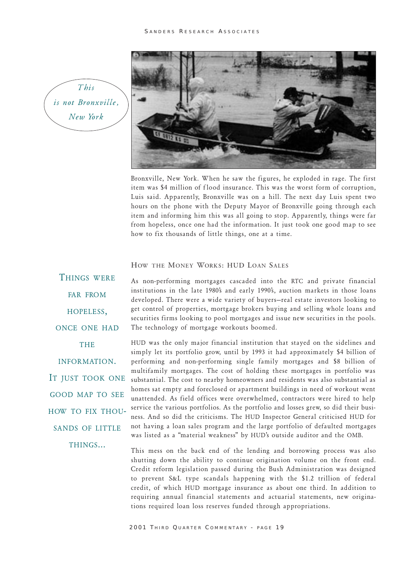#### SANDERS RESEARCH ASSOCIATES

This is not Bronxville, New York



Bronxville, New York. When he saw the figures, he exploded in rage. The first item was \$4 million of flood insurance. This was the worst form of corruption, Luis said. Apparently, Bronxville was on a hill. The next day Luis spent two hours on the phone with the Deputy Mayor of Bronxville going through each item and informing him this was all going to stop. Apparently, things were far from hopeless, once one had the information. It just took one good map to see how to fix thousands of little things, one at a time.

#### HOW THE MONEY WORKS: HUD LOAN SALES

FAR FROM HOPELESS, ONCE ONE HAD THE INFORMATION. IT JUST TOOK ONE GOOD MAP TO SEE HOW TO FIX THOU-SANDS OF LITTLE THINGS...

THINGS WERE

As non-performing mortgages cascaded into the RTC and private financial institutions in the late 1980's and early 1990's, auction markets in those loans developed. There were a wide variety of buyers-real estate investors looking to get control of properties, mortgage brokers buying and selling whole loans and securities firms looking to pool mortgages and issue new securities in the pools. The technology of mortgage workouts boomed.

HUD was the only major financial institution that stayed on the sidelines and simply let its portfolio grow, until by 1993 it had approximately \$4 billion of performing and non-performing single family mortgages and \$8 billion of multifamily mortgages. The cost of holding these mortgages in portfolio was substantial. The cost to nearby homeowners and residents was also substantial as homes sat empty and foreclosed or apartment buildings in need of workout went unattended. As field offices were overwhelmed, contractors were hired to help service the various portfolios. As the portfolio and losses grew, so did their business. And so did the criticisms. The HUD Inspector General criticised HUD for not having a loan sales program and the large portfolio of defaulted mortgages was listed as a "material weakness" by HUD's outside auditor and the OMB.

This mess on the back end of the lending and borrowing process was also shutting down the ability to continue origination volume on the front end. Credit reform legislation passed during the Bush Administration was designed to prevent S&L type scandals happening with the \$1.2 trillion of federal credit, of which HUD mortgage insurance as about one third. In addition to requiring annual financial statements and actuarial statements, new originations required loan loss reserves funded through appropriations.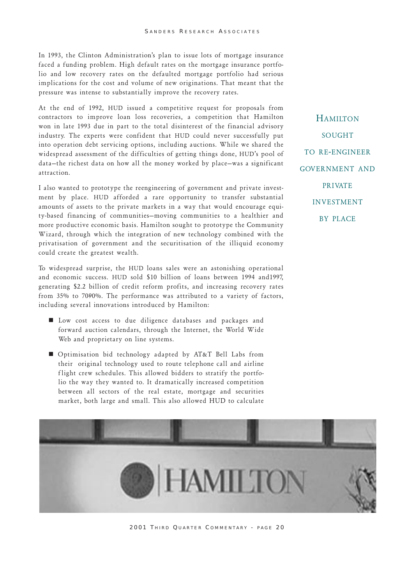In 1993, the Clinton Administration's plan to issue lots of mortgage insurance faced a funding problem. High default rates on the mortgage insurance portfolio and low recovery rates on the defaulted mortgage portfolio had serious implications for the cost and volume of new originations. That meant that the pressure was intense to substantially improve the recovery rates.

At the end of 1992, HUD issued a competitive request for proposals from contractors to improve loan loss recoveries, a competition that Hamilton won in late 1993 due in part to the total disinterest of the financial advisory industry. The experts were confident that HUD could never successfully put into operation debt servicing options, including auctions. While we shared the widespread assessment of the difficulties of getting things done, HUD's pool of data-the richest data on how all the money worked by place-was a significant attraction.

I also wanted to prototype the reengineering of government and private investment by place. HUD afforded a rare opportunity to transfer substantial amounts of assets to the private markets in a way that would encourage equity-based financing of communities-moving communities to a healthier and more productive economic basis. Hamilton sought to prototype the Community Wizard, through which the integration of new technology combined with the privatisation of government and the securitisation of the illiquid economy could create the greatest wealth.

To widespread surprise, the HUD loans sales were an astonishing operational and economic success. HUD sold \$10 billion of loans between 1994 and1997, generating \$2.2 billion of credit reform profits, and increasing recovery rates from 35% to 7090%. The performance was attributed to a variety of factors, including several innovations introduced by Hamilton:

- $\blacksquare$  Low cost access to due diligence databases and packages and forward auction calendars, through the Internet, the World Wide Web and proprietary on line systems.
- **n** Optimisation bid technology adapted by  $AT&T$  Bell Labs from their original technology used to route telephone call and airline flight crew schedules. This allowed bidders to stratify the portfolio the way they wanted to. It dramatically increased competition between all sectors of the real estate, mortgage and securities market, both large and small. This also allowed HUD to calculate

**HAMILTON** SOUGHT TO RE-ENGINEER GOVERNMENT AND **PRIVATE** INVESTMENT BY PLACE



2001 THIRD QUARTER COMMENTARY - PAGE 20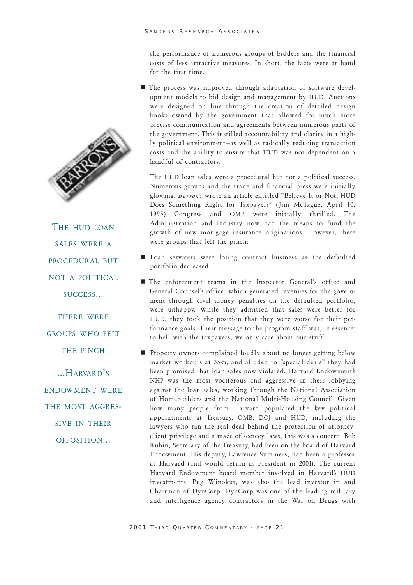the performance of numerous groups of bidders and the financial costs of less attractive measures. In short, the facts were at hand for the first time.

 $\blacksquare$  The process was improved through adaptation of software development models to bid design and management by HUD. Auctions were designed on line through the creation of detailed design books owned by the government that allowed for much more precise communication and agreements between numerous parts of the government. This instilled accountability and clarity in a highly political environment-as well as radically reducing transaction costs and the ability to ensure that HUD was not dependent on a handful of contractors.

.The HUD loan sales were a procedural but not a political success. Numerous groups and the trade and financial press were initially glowing. Barron's wrote an article entitled "Believe It or Not, HUD Does Something Right for Taxpayers" (Jim McTague, April 10, 1995) Congress and OMB were initially thrilled. The Administration and industry now had the means to fund the growth of new mortgage insurance originations. However, there were groups that felt the pinch:

- $\blacksquare$  Loan servicers were losing contract business as the defaulted portfolio decreased.
- $\blacksquare$  The enforcement teams in the Inspector General's office and General Counsel's office, which generated revenues for the government through civil money penalties on the defaulted portfolio, were unhappy. While they admitted that sales were better for HUD, they took the position that they were worse for their performance goals. Their message to the program staff was, in essence: to hell with the taxpayers, we only care about our stuff.
- n Property owners complained loudly about no longer getting below market workouts at 35%, and alluded to "special deals" they had been promised that loan sales now violated. Harvard Endowment's NHP was the most vociferous and aggressive in their lobbying against the loan sales, working through the National Association of Homebuilders and the National Multi-Housing Council. Given how many people from Harvard populated the key political appointments at Treasury, OMB, DOJ and HUD, including the lawyers who ran the real deal behind the protection of attorneyclient privilege and a maze of secrecy laws, this was a concern. Bob Rubin, Secretary of the Treasury, had been on the board of Harvard Endowment. His deputy, Lawrence Summers, had been a professor at Harvard (and would return as President in 2001). The current Harvard Endowment board member involved in Harvard's HUD investments, Pug Winokur, was also the lead investor in and Chairman of DynCorp. DynCorp was one of the leading military and intelligence agency contractors in the War on Drugs with





THE HUD LOAN SALES WERE A PROCEDURAL BUT NOT A POLITICAL SUCCESS...

THERE WERE GROUPS WHO FELT THE PINCH

 $...H$ ARVARD'S ENDOWMENT WERE THE MOST AGGRES-SIVE IN THEIR OPPOSITION...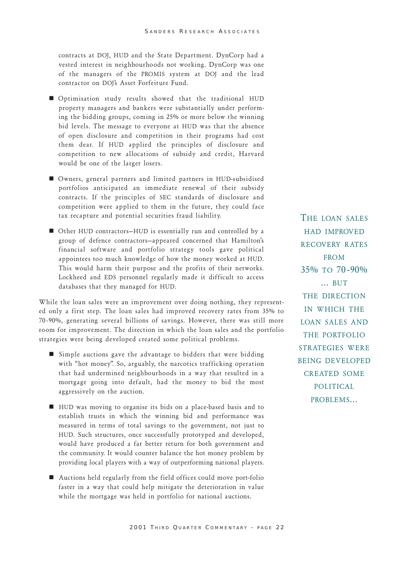contracts at DOJ, HUD and the State Department. DynCorp had a vested interest in neighbourhoods not working. DynCorp was one of the managers of the PROMIS system at DOJ and the lead contractor on DOJs Asset Forfeiture Fund.

- n Optimisation study results showed that the traditional HUD property managers and bankers were substantially under performing the bidding groups, coming in 25% or more below the winning bid levels. The message to everyone at HUD was that the absence of open disclosure and competition in their programs had cost them dear. If HUD applied the principles of disclosure and competition to new allocations of subsidy and credit, Harvard would be one of the larger losers.
- Owners, general partners and limited partners in HUD-subsidised portfolios anticipated an immediate renewal of their subsidy contracts. If the principles of SEC standards of disclosure and competition were applied to them in the future, they could face tax recapture and potential securities fraud liability.
- Other HUD contractors-HUD is essentially run and controlled by a group of defence contractors-appeared concerned that Hamilton's financial software and portfolio strategy tools gave political appointees too much knowledge of how the money worked at HUD. This would harm their purpose and the profits of their networks. Lockheed and EDS personnel regularly made it difficult to access databases that they managed for HUD.

While the loan sales were an improvement over doing nothing, they represented only a first step. The loan sales had improved recovery rates from 35% to 70-90%, generating several billions of savings. However, there was still more room for improvement. The direction in which the loan sales and the portfolio strategies were being developed created some political problems.

- $\blacksquare$  Simple auctions gave the advantage to bidders that were bidding with "hot money". So, arguably, the narcotics trafficking operation that had undermined neighbourhoods in a way that resulted in a mortgage going into default, had the money to bid the most aggressively on the auction.
- $\blacksquare$  HUD was moving to organise its bids on a place-based basis and to establish trusts in which the winning bid and performance was measured in terms of total savings to the government, not just to HUD. Such structures, once successfully prototyped and developed, would have produced a far better return for both government and the community. It would counter balance the hot money problem by providing local players with a way of outperforming national players.
- $\blacksquare$  Auctions held regularly from the field offices could move port-folio faster in a way that could help mitigate the deterioration in value while the mortgage was held in portfolio for national auctions.

THE LOAN SALES HAD IMPROVED RECOVERY RATES **FROM** 35% TO 70 -90% ... BUT THE DIRECTION IN WHICH THE LOAN SALES AND THE PORTFOLIO STRATEGIES WERE BEING DEVELOPED CREATED SOME POLITICAL PROBLEMS...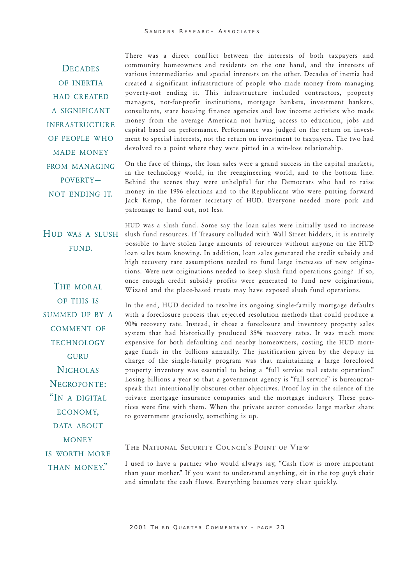**DECADES** OF INERTIA HAD CREATED A SIGNIFICANT INFRASTRUCTURE OF PEOPLE WHO MADE MONEY FROM MANAGING POVERTY NOT ENDING IT.

There was a direct conflict between the interests of both taxpayers and community homeowners and residents on the one hand, and the interests of various intermediaries and special interests on the other. Decades of inertia had created a significant infrastructure of people who made money from managing poverty-not ending it. This infrastructure included contractors, property managers, not-for-profit institutions, mortgage bankers, investment bankers, consultants, state housing finance agencies and low income activists who made money from the average American not having access to education, jobs and capital based on performance. Performance was judged on the return on investment to special interests, not the return on investment to taxpayers. The two had devolved to a point where they were pitted in a win-lose relationship.

On the face of things, the loan sales were a grand success in the capital markets, in the technology world, in the reengineering world, and to the bottom line. Behind the scenes they were unhelpful for the Democrats who had to raise money in the 1996 elections and to the Republicans who were putting forward Jack Kemp, the former secretary of HUD. Everyone needed more pork and patronage to hand out, not less.

FUND.

THE MORAL OF THIS IS SUMMED UP BY A COMMENT OF **TECHNOLOGY GURU NICHOLAS** NEGROPONTE: "IN A DIGITAL ECONOMY, DATA ABOUT **MONEY** IS WORTH MORE THAN MONEY."

HUD was a slush fund. Some say the loan sales were initially used to increase HUD WAS A SLUSH slush fund resources. If Treasury colluded with Wall Street bidders, it is entirely possible to have stolen large amounts of resources without anyone on the HUD loan sales team knowing. In addition, loan sales generated the credit subsidy and high recovery rate assumptions needed to fund large increases of new originations. Were new originations needed to keep slush fund operations going? If so, once enough credit subsidy profits were generated to fund new originations, Wizard and the place-based trusts may have exposed slush fund operations.

> In the end, HUD decided to resolve its ongoing single-family mortgage defaults with a foreclosure process that rejected resolution methods that could produce a 90% recovery rate. Instead, it chose a foreclosure and inventory property sales system that had historically produced 35% recovery rates. It was much more expensive for both defaulting and nearby homeowners, costing the HUD mortgage funds in the billions annually. The justification given by the deputy in charge of the single-family program was that maintaining a large foreclosed property inventory was essential to being a "full service real estate operation." Losing billions a year so that a government agency is "full service" is bureaucratspeak that intentionally obscures other objectives. Proof lay in the silence of the private mortgage insurance companies and the mortgage industry. These practices were fine with them. When the private sector concedes large market share to government graciously, something is up.

# THE NATIONAL SECURITY COUNCIL'S POINT OF VIEW

I used to have a partner who would always say, "Cash flow is more important than your mother." If you want to understand anything, sit in the top guy's chair and simulate the cash flows. Everything becomes very clear quickly.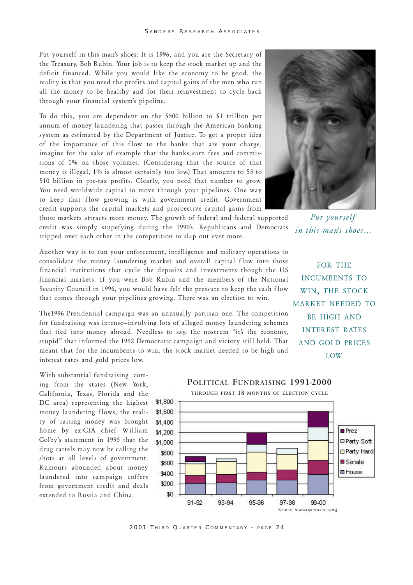Put yourself in this man's shoes: It is 1996, and you are the Secretary of the Treasury, Bob Rubin. Your job is to keep the stock market up and the deficit financed. While you would like the economy to be good, the reality is that you need the profits and capital gains of the men who run all the money to be healthy and for their reinvestment to cycle back through your financial system's pipeline.

To do this, you are dependent on the \$500 billion to \$1 trillion per annum of money laundering that passes through the American banking system as estimated by the Department of Justice. To get a proper idea of the importance of this flow to the banks that are your charge, imagine for the sake of example that the banks earn fees and commissions of 1% on those volumes. (Considering that the source of that money is illegal, 1% is almost certainly too low.) That amounts to \$5 to \$10 billion in pre-tax profits. Clearly, you need that number to grow. You need worldwide capital to move through your pipelines. One way to keep that flow growing is with government credit. Government credit supports the capital markets and prospective capital gains from

those markets attracts more money. The growth of federal and federal supported credit was simply stupefying during the 1990's. Republicans and Democrats tripped over each other in the competition to slap out ever more.

Put yourself in this man's shoes...

Another way is to run your enforcement, intelligence and military operations to consolidate the money laundering market and overall capital flow into those financial institutions that cycle the deposits and investments though the US financial markets. If you were Bob Rubin and the members of the National Security Council in 1996, you would have felt the pressure to keep the cash flow that comes through your pipelines growing. There was an election to win.

The1996 Presidential campaign was an unusually partisan one. The competition for fundraising was intense-involving lots of alleged money laundering schemes that tied into money abroad. Needless to say, the nostrum "it's the economy, stupid" that informed the 1992 Democratic campaign and victory still held. That meant that for the incumbents to win, the stock market needed to be high and interest rates and gold prices low.

FOR THE INCUMBENTS TO WIN, THE STOCK MARKET NEEDED TO BE HIGH AND INTEREST RATES AND GOLD PRICES LOW

With substantial fundraising coming from the states (New York, California, Texas, Florida and the DC area) representing the highest money laundering flows, the reality of raising money was brought home by ex-CIA chief William Colby's statement in 1995 that the drug cartels may now be calling the shots at all levels of government. Rumours abounded about money laundered into campaign coffers from government credit and deals extended to Russia and China.



2001 THIRD QUARTER COMMENTARY - PAGE 24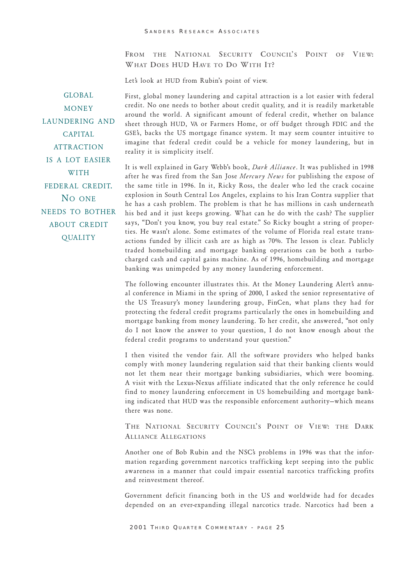FROM THE NATIONAL SECURITY COUNCIL'S POINT OF VIEW: WHAT DOES HUD HAVE TO DO WITH IT?

Let's look at HUD from Rubin's point of view.

GLOBAL MONEY LAUNDERING AND **CAPITAL ATTRACTION** IS A LOT EASIER WITH FEDERAL CREDIT. NO ONE NEEDS TO BOTHER ABOUT CREDIT **QUALITY** 

First, global money laundering and capital attraction is a lot easier with federal credit. No one needs to bother about credit quality, and it is readily marketable around the world. A significant amount of federal credit, whether on balance sheet through HUD, VA or Farmers Home, or off budget through FDIC and the GSE's, backs the US mortgage finance system. It may seem counter intuitive to imagine that federal credit could be a vehicle for money laundering, but in reality it is simplicity itself.

It is well explained in Gary Webb's book, Dark Alliance. It was published in 1998 after he was fired from the San Jose Mercury News for publishing the expose of the same title in 1996. In it, Ricky Ross, the dealer who led the crack cocaine explosion in South Central Los Angeles, explains to his Iran Contra supplier that he has a cash problem. The problem is that he has millions in cash underneath his bed and it just keeps growing. What can he do with the cash? The supplier says, "Don't you know, you buy real estate." So Ricky bought a string of properties. He wasnt alone. Some estimates of the volume of Florida real estate transactions funded by illicit cash are as high as 70%. The lesson is clear. Publicly traded homebuilding and mortgage banking operations can be both a turbocharged cash and capital gains machine. As of 1996, homebuilding and mortgage banking was unimpeded by any money laundering enforcement.

The following encounter illustrates this. At the Money Laundering Alert's annual conference in Miami in the spring of 2000, I asked the senior representative of the US Treasurys money laundering group, FinCen, what plans they had for protecting the federal credit programs particularly the ones in homebuilding and mortgage banking from money laundering. To her credit, she answered, "not only do I not know the answer to your question, I do not know enough about the federal credit programs to understand your question.

I then visited the vendor fair. All the software providers who helped banks comply with money laundering regulation said that their banking clients would not let them near their mortgage banking subsidiaries, which were booming. A visit with the Lexus-Nexus affiliate indicated that the only reference he could find to money laundering enforcement in US homebuilding and mortgage banking indicated that HUD was the responsible enforcement authority-which means there was none.

THE NATIONAL SECURITY COUNCIL'S POINT OF VIEW: THE DARK **ALLIANCE ALLEGATIONS** 

Another one of Bob Rubin and the NSC's problems in 1996 was that the information regarding government narcotics trafficking kept seeping into the public awareness in a manner that could impair essential narcotics trafficking profits and reinvestment thereof.

Government deficit financing both in the US and worldwide had for decades depended on an ever-expanding illegal narcotics trade. Narcotics had been a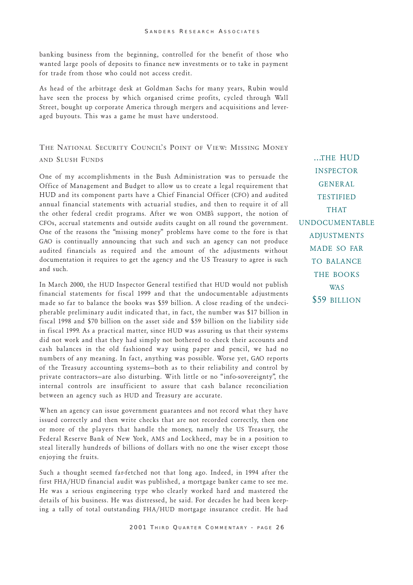banking business from the beginning, controlled for the benefit of those who wanted large pools of deposits to finance new investments or to take in payment for trade from those who could not access credit.

As head of the arbitrage desk at Goldman Sachs for many years, Rubin would have seen the process by which organised crime profits, cycled through Wall Street, bought up corporate America through mergers and acquisitions and leveraged buyouts. This was a game he must have understood.

# THE NATIONAL SECURITY COUNCIL'S POINT OF VIEW: MISSING MONEY AND SLUSH FUNDS

One of my accomplishments in the Bush Administration was to persuade the Office of Management and Budget to allow us to create a legal requirement that HUD and its component parts have a Chief Financial Officer (CFO) and audited annual financial statements with actuarial studies, and then to require it of all the other federal credit programs. After we won OMBs support, the notion of CFOs, accrual statements and outside audits caught on all round the government. One of the reasons the "missing money" problems have come to the fore is that GAO is continually announcing that such and such an agency can not produce audited financials as required and the amount of the adjustments without documentation it requires to get the agency and the US Treasury to agree is such and such.

In March 2000, the HUD Inspector General testified that HUD would not publish financial statements for fiscal 1999 and that the undocumentable adjustments made so far to balance the books was \$59 billion. A close reading of the undecipherable preliminary audit indicated that, in fact, the number was \$17 billion in fiscal 1998 and \$70 billion on the asset side and \$59 billion on the liability side in fiscal 1999. As a practical matter, since HUD was assuring us that their systems did not work and that they had simply not bothered to check their accounts and cash balances in the old fashioned way using paper and pencil, we had no numbers of any meaning. In fact, anything was possible. Worse yet, GAO reports of the Treasury accounting systems-both as to their reliability and control by private contractors-are also disturbing. With little or no "info-sovereignty", the internal controls are insufficient to assure that cash balance reconciliation between an agency such as HUD and Treasury are accurate.

When an agency can issue government guarantees and not record what they have issued correctly and then write checks that are not recorded correctly, then one or more of the players that handle the money, namely the US Treasury, the Federal Reserve Bank of New York, AMS and Lockheed, may be in a position to steal literally hundreds of billions of dollars with no one the wiser except those enjoying the fruits.

Such a thought seemed far-fetched not that long ago. Indeed, in 1994 after the first FHA/HUD financial audit was published, a mortgage banker came to see me. He was a serious engineering type who clearly worked hard and mastered the details of his business. He was distressed, he said. For decades he had been keeping a tally of total outstanding FHA/HUD mortgage insurance credit. He had

...THE HUD INSPECTOR GENERAL TESTIFIED THAT UNDOCUMENTABLE ADJUSTMENTS MADE SO FAR TO BALANCE THE BOOKS W<sub>A</sub>S \$59 BILLION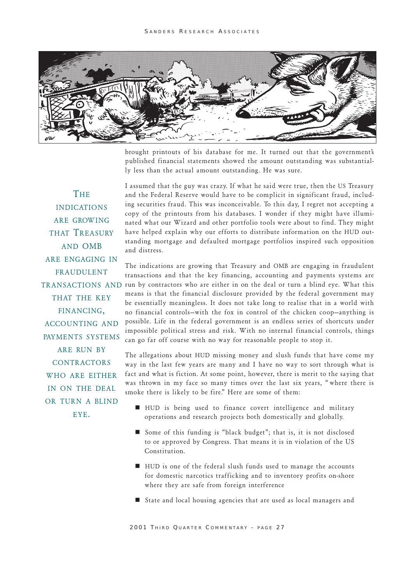

brought printouts of his database for me. It turned out that the government's published financial statements showed the amount outstanding was substantially less than the actual amount outstanding. He was sure.

**THE INDICATIONS** ARE GROW ING THAT TREASURY AND OMB ARE ENGAGING IN FRAUDULENT THAT THE KEY FINANCING, ACCOUNTING AND PAYMENTS SYSTEMS ARE RUN BY **CONTRACTORS** WHO ARE EITHER IN ON THE DEAL OR TURN A BLIND EYE.

I assumed that the guy was crazy. If what he said were true, then the US Treasury and the Federal Reserve would have to be complicit in significant fraud, including securities fraud. This was inconceivable. To this day, I regret not accepting a copy of the printouts from his databases. I wonder if they might have illuminated what our Wizard and other portfolio tools were about to find. They might have helped explain why our efforts to distribute information on the HUD outstanding mortgage and defaulted mortgage portfolios inspired such opposition and distress.

The indications are growing that Treasury and OMB are engaging in fraudulent transactions and that the key financing, accounting and payments systems are TRANSACTIONS AND run by contractors who are either in on the deal or turn a blind eye. What this means is that the financial disclosure provided by the federal government may be essentially meaningless. It does not take long to realise that in a world with no financial controls-with the fox in control of the chicken coop-anything is possible. Life in the federal government is an endless series of shortcuts under impossible political stress and risk. With no internal financial controls, things can go far off course with no way for reasonable people to stop it.

> The allegations about HUD missing money and slush funds that have come my way in the last few years are many and I have no way to sort through what is fact and what is fiction. At some point, however, there is merit to the saying that was thrown in my face so many times over the last six years, "where there is smoke there is likely to be fire." Here are some of them:

- $\blacksquare$  HUD is being used to finance covert intelligence and military operations and research projects both domestically and globally.
- Some of this funding is "black budget"; that is, it is not disclosed to or approved by Congress. That means it is in violation of the US Constitution.
- $\blacksquare$  HUD is one of the federal slush funds used to manage the accounts for domestic narcotics trafficking and to inventory profits on-shore where they are safe from foreign interference
- $\blacksquare$  State and local housing agencies that are used as local managers and